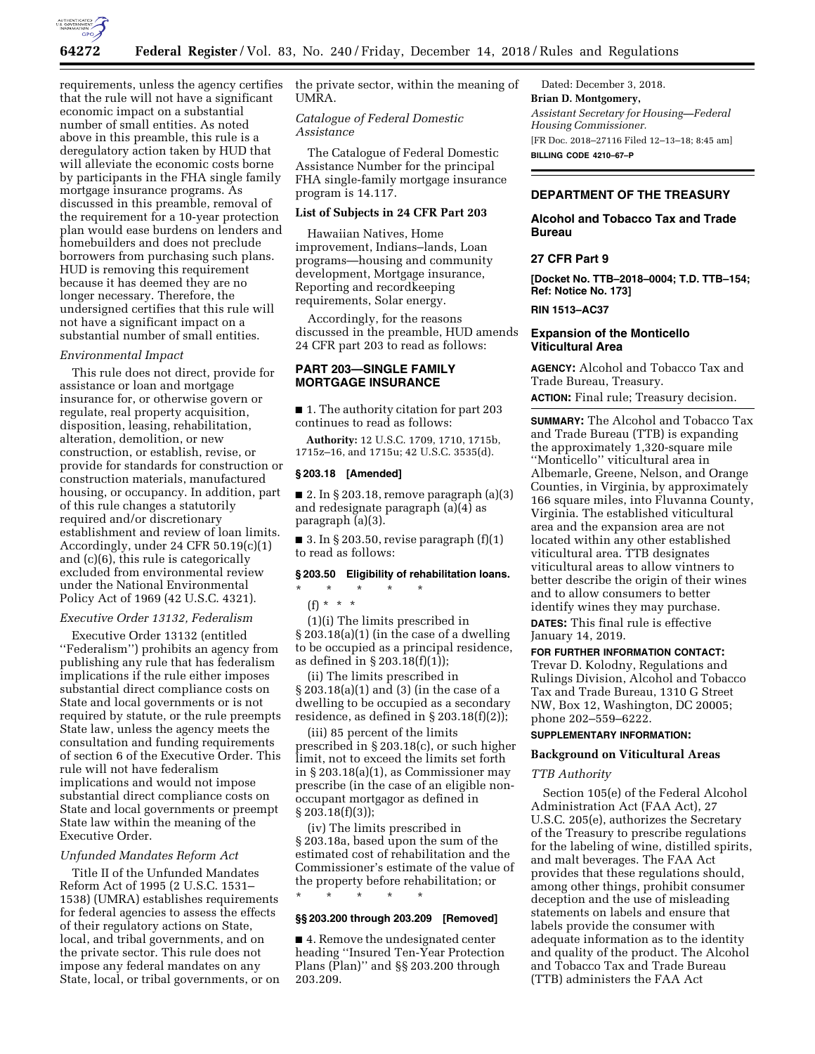

that the rule will not have a significant economic impact on a substantial number of small entities. As noted above in this preamble, this rule is a deregulatory action taken by HUD that will alleviate the economic costs borne by participants in the FHA single family mortgage insurance programs. As discussed in this preamble, removal of the requirement for a 10-year protection plan would ease burdens on lenders and homebuilders and does not preclude borrowers from purchasing such plans. HUD is removing this requirement because it has deemed they are no longer necessary. Therefore, the undersigned certifies that this rule will not have a significant impact on a substantial number of small entities.

# *Environmental Impact*

This rule does not direct, provide for assistance or loan and mortgage insurance for, or otherwise govern or regulate, real property acquisition, disposition, leasing, rehabilitation, alteration, demolition, or new construction, or establish, revise, or provide for standards for construction or construction materials, manufactured housing, or occupancy. In addition, part of this rule changes a statutorily required and/or discretionary establishment and review of loan limits. Accordingly, under 24 CFR 50.19(c)(1) and (c)(6), this rule is categorically excluded from environmental review under the National Environmental Policy Act of 1969 (42 U.S.C. 4321).

## *Executive Order 13132, Federalism*

Executive Order 13132 (entitled ''Federalism'') prohibits an agency from publishing any rule that has federalism implications if the rule either imposes substantial direct compliance costs on State and local governments or is not required by statute, or the rule preempts State law, unless the agency meets the consultation and funding requirements of section 6 of the Executive Order. This rule will not have federalism implications and would not impose substantial direct compliance costs on State and local governments or preempt State law within the meaning of the Executive Order.

### *Unfunded Mandates Reform Act*

Title II of the Unfunded Mandates Reform Act of 1995 (2 U.S.C. 1531– 1538) (UMRA) establishes requirements for federal agencies to assess the effects of their regulatory actions on State, local, and tribal governments, and on the private sector. This rule does not impose any federal mandates on any State, local, or tribal governments, or on

requirements, unless the agency certifies the private sector, within the meaning of UMRA.

# *Catalogue of Federal Domestic Assistance*

The Catalogue of Federal Domestic Assistance Number for the principal FHA single-family mortgage insurance program is 14.117.

## **List of Subjects in 24 CFR Part 203**

Hawaiian Natives, Home improvement, Indians–lands, Loan programs—housing and community development, Mortgage insurance, Reporting and recordkeeping requirements, Solar energy.

Accordingly, for the reasons discussed in the preamble, HUD amends 24 CFR part 203 to read as follows:

# **PART 203—SINGLE FAMILY MORTGAGE INSURANCE**

■ 1. The authority citation for part 203 continues to read as follows:

**Authority:** 12 U.S.C. 1709, 1710, 1715b, 1715z–16, and 1715u; 42 U.S.C. 3535(d).

# **§ 203.18 [Amended]**

■ 2. In § 203.18, remove paragraph  $(a)(3)$ and redesignate paragraph (a)(4) as paragraph (a)(3).

■ 3. In § 203.50, revise paragraph  $(f)(1)$ to read as follows:

### **§ 203.50 Eligibility of rehabilitation loans.**

\* \* \* \* \*

 $(f) * * * *$ 

(1)(i) The limits prescribed in § 203.18(a)(1) (in the case of a dwelling to be occupied as a principal residence, as defined in § 203.18(f)(1));

(ii) The limits prescribed in § 203.18(a)(1) and (3) (in the case of a dwelling to be occupied as a secondary residence, as defined in § 203.18(f)(2));

(iii) 85 percent of the limits prescribed in § 203.18(c), or such higher limit, not to exceed the limits set forth in § 203.18(a)(1), as Commissioner may prescribe (in the case of an eligible nonoccupant mortgagor as defined in  $\S 203.18(f)(3)$ ;

(iv) The limits prescribed in § 203.18a, based upon the sum of the estimated cost of rehabilitation and the Commissioner's estimate of the value of the property before rehabilitation; or

### **§§ 203.200 through 203.209 [Removed]**

\* \* \* \* \*

■ 4. Remove the undesignated center heading ''Insured Ten-Year Protection Plans (Plan)'' and §§ 203.200 through 203.209.

Dated: December 3, 2018. **Brian D. Montgomery,**  *Assistant Secretary for Housing—Federal Housing Commissioner.*  [FR Doc. 2018–27116 Filed 12–13–18; 8:45 am] **BILLING CODE 4210–67–P** 

# **DEPARTMENT OF THE TREASURY**

## **Alcohol and Tobacco Tax and Trade Bureau**

## **27 CFR Part 9**

**[Docket No. TTB–2018–0004; T.D. TTB–154; Ref: Notice No. 173]** 

**RIN 1513–AC37** 

# **Expansion of the Monticello Viticultural Area**

**AGENCY:** Alcohol and Tobacco Tax and Trade Bureau, Treasury.

**ACTION:** Final rule; Treasury decision.

**SUMMARY:** The Alcohol and Tobacco Tax and Trade Bureau (TTB) is expanding the approximately 1,320-square mile ''Monticello'' viticultural area in Albemarle, Greene, Nelson, and Orange Counties, in Virginia, by approximately 166 square miles, into Fluvanna County, Virginia. The established viticultural area and the expansion area are not located within any other established viticultural area. TTB designates viticultural areas to allow vintners to better describe the origin of their wines and to allow consumers to better identify wines they may purchase. **DATES:** This final rule is effective

January 14, 2019.

# **FOR FURTHER INFORMATION CONTACT:**

Trevar D. Kolodny, Regulations and Rulings Division, Alcohol and Tobacco Tax and Trade Bureau, 1310 G Street NW, Box 12, Washington, DC 20005; phone 202–559–6222.

# **SUPPLEMENTARY INFORMATION:**

# **Background on Viticultural Areas**

#### *TTB Authority*

Section 105(e) of the Federal Alcohol Administration Act (FAA Act), 27 U.S.C. 205(e), authorizes the Secretary of the Treasury to prescribe regulations for the labeling of wine, distilled spirits, and malt beverages. The FAA Act provides that these regulations should, among other things, prohibit consumer deception and the use of misleading statements on labels and ensure that labels provide the consumer with adequate information as to the identity and quality of the product. The Alcohol and Tobacco Tax and Trade Bureau (TTB) administers the FAA Act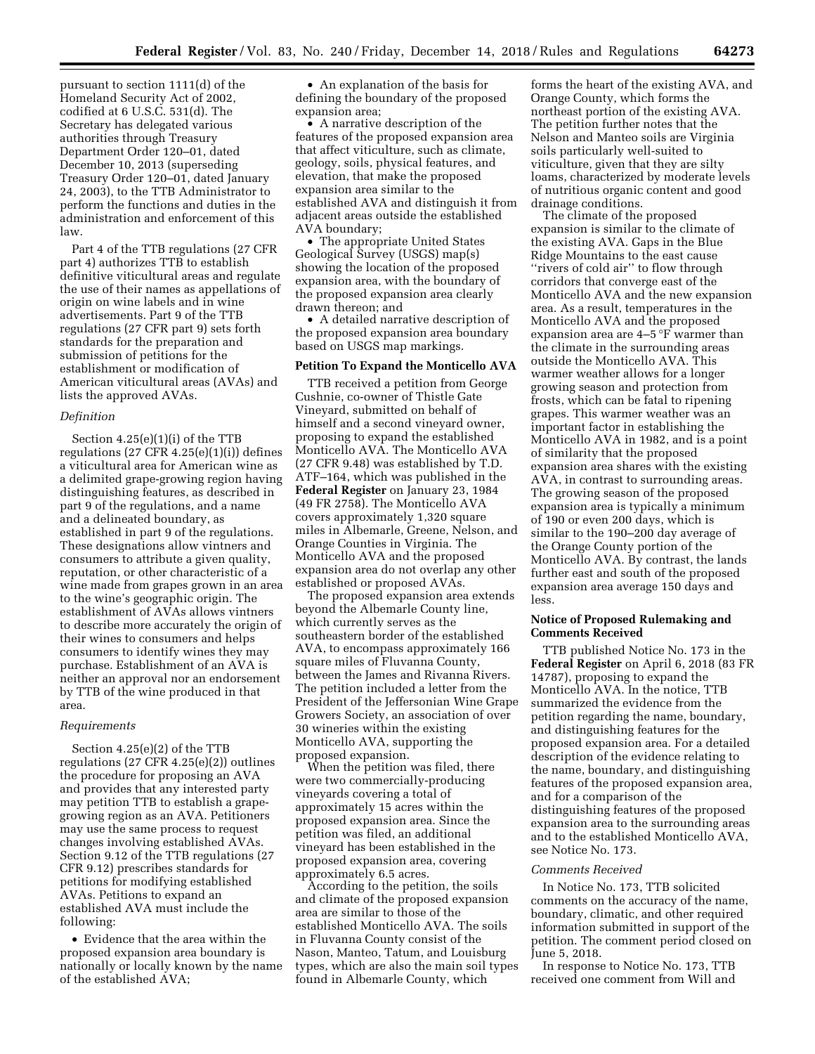pursuant to section 1111(d) of the Homeland Security Act of 2002, codified at 6 U.S.C. 531(d). The Secretary has delegated various authorities through Treasury Department Order 120–01, dated December 10, 2013 (superseding Treasury Order 120–01, dated January 24, 2003), to the TTB Administrator to perform the functions and duties in the administration and enforcement of this law.

Part 4 of the TTB regulations (27 CFR part 4) authorizes TTB to establish definitive viticultural areas and regulate the use of their names as appellations of origin on wine labels and in wine advertisements. Part 9 of the TTB regulations (27 CFR part 9) sets forth standards for the preparation and submission of petitions for the establishment or modification of American viticultural areas (AVAs) and lists the approved AVAs.

#### *Definition*

Section 4.25(e)(1)(i) of the TTB regulations  $(27 \text{ CFR } 4.25(e)(1)(i))$  defines a viticultural area for American wine as a delimited grape-growing region having distinguishing features, as described in part 9 of the regulations, and a name and a delineated boundary, as established in part 9 of the regulations. These designations allow vintners and consumers to attribute a given quality, reputation, or other characteristic of a wine made from grapes grown in an area to the wine's geographic origin. The establishment of AVAs allows vintners to describe more accurately the origin of their wines to consumers and helps consumers to identify wines they may purchase. Establishment of an AVA is neither an approval nor an endorsement by TTB of the wine produced in that area.

#### *Requirements*

Section 4.25(e)(2) of the TTB regulations (27 CFR 4.25(e)(2)) outlines the procedure for proposing an AVA and provides that any interested party may petition TTB to establish a grapegrowing region as an AVA. Petitioners may use the same process to request changes involving established AVAs. Section 9.12 of the TTB regulations (27 CFR 9.12) prescribes standards for petitions for modifying established AVAs. Petitions to expand an established AVA must include the following:

• Evidence that the area within the proposed expansion area boundary is nationally or locally known by the name of the established AVA;

• An explanation of the basis for defining the boundary of the proposed expansion area;

• A narrative description of the features of the proposed expansion area that affect viticulture, such as climate, geology, soils, physical features, and elevation, that make the proposed expansion area similar to the established AVA and distinguish it from adjacent areas outside the established AVA boundary;

• The appropriate United States Geological Survey (USGS) map(s) showing the location of the proposed expansion area, with the boundary of the proposed expansion area clearly drawn thereon; and

• A detailed narrative description of the proposed expansion area boundary based on USGS map markings.

### **Petition To Expand the Monticello AVA**

TTB received a petition from George Cushnie, co-owner of Thistle Gate Vineyard, submitted on behalf of himself and a second vineyard owner, proposing to expand the established Monticello AVA. The Monticello AVA (27 CFR 9.48) was established by T.D. ATF–164, which was published in the **Federal Register** on January 23, 1984 (49 FR 2758). The Monticello AVA covers approximately 1,320 square miles in Albemarle, Greene, Nelson, and Orange Counties in Virginia. The Monticello AVA and the proposed expansion area do not overlap any other established or proposed AVAs.

The proposed expansion area extends beyond the Albemarle County line, which currently serves as the southeastern border of the established AVA, to encompass approximately 166 square miles of Fluvanna County, between the James and Rivanna Rivers. The petition included a letter from the President of the Jeffersonian Wine Grape Growers Society, an association of over 30 wineries within the existing Monticello AVA, supporting the proposed expansion.

When the petition was filed, there were two commercially-producing vineyards covering a total of approximately 15 acres within the proposed expansion area. Since the petition was filed, an additional vineyard has been established in the proposed expansion area, covering approximately 6.5 acres.

According to the petition, the soils and climate of the proposed expansion area are similar to those of the established Monticello AVA. The soils in Fluvanna County consist of the Nason, Manteo, Tatum, and Louisburg types, which are also the main soil types found in Albemarle County, which

forms the heart of the existing AVA, and Orange County, which forms the northeast portion of the existing AVA. The petition further notes that the Nelson and Manteo soils are Virginia soils particularly well-suited to viticulture, given that they are silty loams, characterized by moderate levels of nutritious organic content and good drainage conditions.

The climate of the proposed expansion is similar to the climate of the existing AVA. Gaps in the Blue Ridge Mountains to the east cause "rivers of cold air" to flow through corridors that converge east of the Monticello AVA and the new expansion area. As a result, temperatures in the Monticello AVA and the proposed expansion area are 4–5 °F warmer than the climate in the surrounding areas outside the Monticello AVA. This warmer weather allows for a longer growing season and protection from frosts, which can be fatal to ripening grapes. This warmer weather was an important factor in establishing the Monticello AVA in 1982, and is a point of similarity that the proposed expansion area shares with the existing AVA, in contrast to surrounding areas. The growing season of the proposed expansion area is typically a minimum of 190 or even 200 days, which is similar to the 190–200 day average of the Orange County portion of the Monticello AVA. By contrast, the lands further east and south of the proposed expansion area average 150 days and less.

## **Notice of Proposed Rulemaking and Comments Received**

TTB published Notice No. 173 in the **Federal Register** on April 6, 2018 (83 FR 14787), proposing to expand the Monticello AVA. In the notice, TTB summarized the evidence from the petition regarding the name, boundary, and distinguishing features for the proposed expansion area. For a detailed description of the evidence relating to the name, boundary, and distinguishing features of the proposed expansion area, and for a comparison of the distinguishing features of the proposed expansion area to the surrounding areas and to the established Monticello AVA, see Notice No. 173.

#### *Comments Received*

In Notice No. 173, TTB solicited comments on the accuracy of the name, boundary, climatic, and other required information submitted in support of the petition. The comment period closed on June 5, 2018.

In response to Notice No. 173, TTB received one comment from Will and